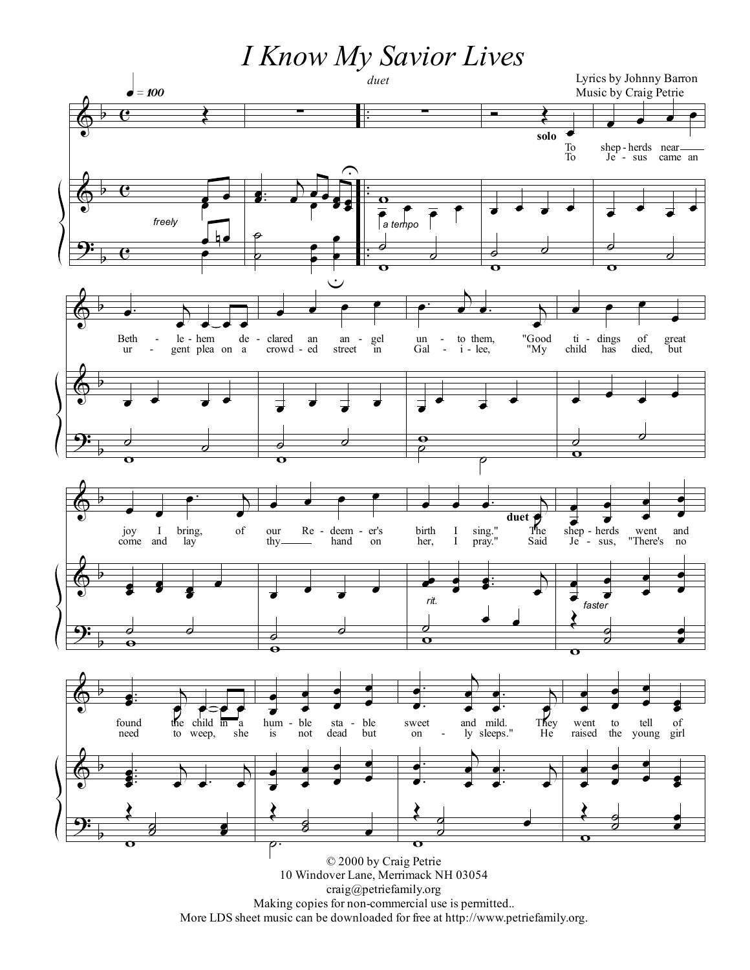*I Know My Savior Lives*



Making copies for non-commercial use is permitted..

More LDS sheet music can be downloaded for free at http://www.petriefamily.org.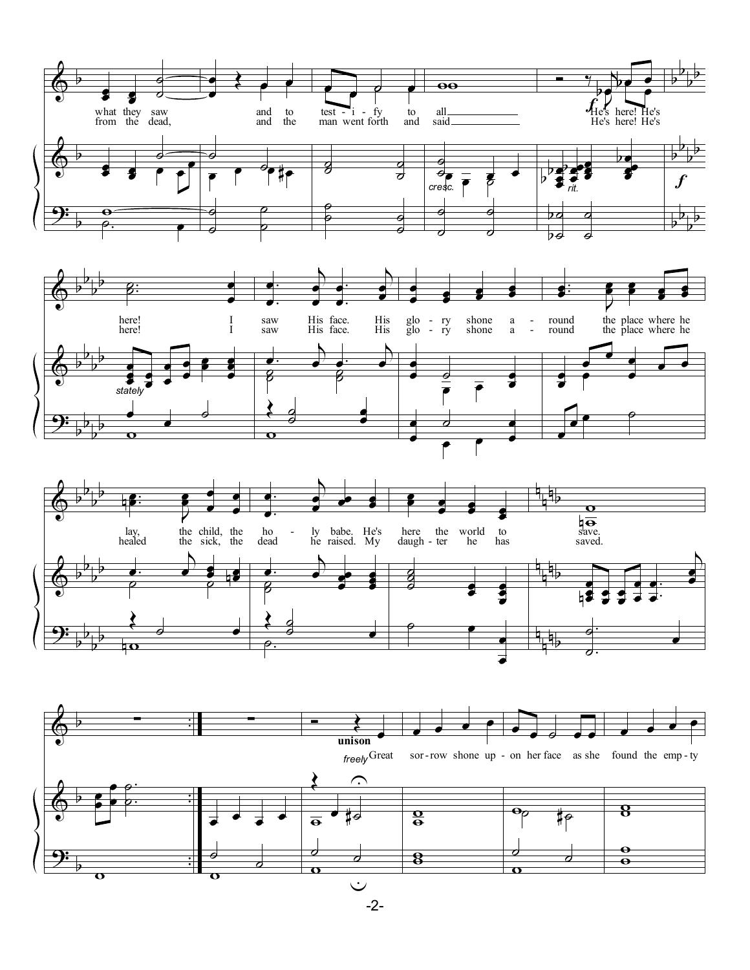

-2-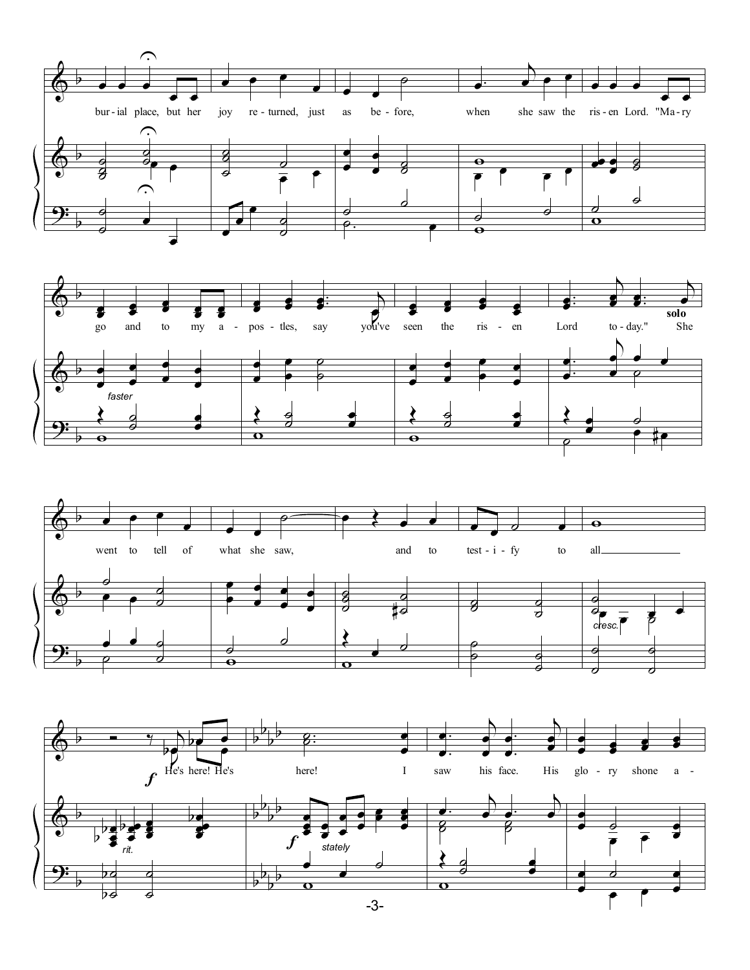